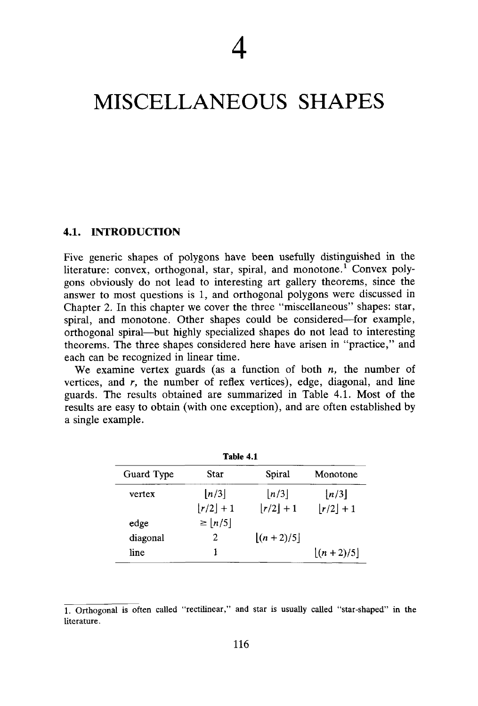# MISCELLANEOUS SHAPES

#### **4.1. INTRODUCTION**

Five generic shapes of polygons have been usefully distinguished in the literature: convex, orthogonal, star, spiral, and monotone.<sup>1</sup> Convex polygons obviously do not lead to interesting art gallery theorems, since the answer to most questions is 1, and orthogonal polygons were discussed in Chapter 2. In this chapter we cover the three "miscellaneous" shapes: star, spiral, and monotone. Other shapes could be considered—for example, orthogonal spiral—but highly specialized shapes do not lead to interesting theorems. The three shapes considered here have arisen in "practice," and each can be recognized in linear time.

We examine vertex guards (as a function of both *n,* the number of vertices, and *r,* the number of reflex vertices), edge, diagonal, and line guards. The results obtained are summarized in Table 4.1. Most of the results are easy to obtain (with one exception), and are often established by a single example.

| Table 4.1  |                       |                             |                       |
|------------|-----------------------|-----------------------------|-----------------------|
| Guard Type | Star                  | Spiral                      | Monotone              |
| vertex     | $\lfloor n/3 \rfloor$ | $\lfloor n/3 \rfloor$       | $\lfloor n/3 \rfloor$ |
|            | $ r/2 +1$             | $ r/2  + 1$                 | $ r/2  + 1$           |
| edge       | $\geq  n/5 $          |                             |                       |
| diagonal   | 2                     | $\lfloor (n + 2)/5 \rfloor$ |                       |
| line       | ı                     |                             | $ (n+2)/5 $           |

<sup>1.</sup> Orthogonal is often called "rectilinear," and star is usually called "star-shaped" in the literature.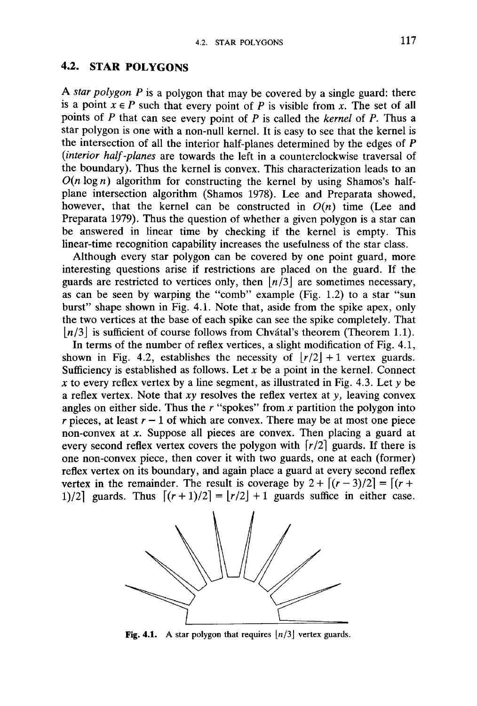## **4.2. STAR POLYGONS**

A *star polygon P* is a polygon that may be covered by a single guard: there is a point  $x \in P$  such that every point of *P* is visible from *x*. The set of all points of *P* that can see every point of *P* is called the *kernel* of *P.* Thus a star polygon is one with a non-null kernel. It is easy to see that the kernel is the intersection of all the interior half-planes determined by the edges of P *(interior half-planes* are towards the left in a counterclockwise traversal of the boundary). Thus the kernel is convex. This characterization leads to an  $O(n \log n)$  algorithm for constructing the kernel by using Shamos's halfplane intersection algorithm (Shamos 1978). Lee and Preparata showed, however, that the kernel can be constructed in  $O(n)$  time (Lee and Preparata 1979). Thus the question of whether a given polygon is a star can be answered in linear time by checking if the kernel is empty. This linear-time recognition capability increases the usefulness of the star class.

Although every star polygon can be covered by one point guard, more interesting questions arise if restrictions are placed on the guard. If the guards are restricted to vertices only, then  $|n/3|$  are sometimes necessary, as can be seen by warping the "comb" example (Fig. 1.2) to a star "sun burst" shape shown in Fig. 4.1. Note that, aside from the spike apex, only the two vertices at the base of each spike can see the spike completely. That *[n/3\* is sufficient of course follows from Chvatal's theorem (Theorem 1.1).

In terms of the number of reflex vertices, a slight modification of Fig. 4.1, shown in Fig. 4.2, establishes the necessity of  $|r/2|+1$  vertex guards. Sufficiency is established as follows. Let  $x$  be a point in the kernel. Connect *x* to every reflex vertex by a line segment, as illustrated in Fig. 4.3. Let  $\gamma$  be a reflex vertex. Note that *xy* resolves the reflex vertex at y, leaving convex angles on either side. Thus the *r* "spokes" from *x* partition the polygon into *r* pieces, at least  $r - 1$  of which are convex. There may be at most one piece non-convex at *x.* Suppose all pieces are convex. Then placing a guard at every second reflex vertex covers the polygon with *\r/2\* guards. If there is one non-convex piece, then cover it with two guards, one at each (former) reflex vertex on its boundary, and again place a guard at every second reflex vertex in the remainder. The result is coverage by  $2 + \frac{(r-3)}{2} = \frac{(r+1)(r-3)}{2}$ 1)/2] guards. Thus  $\lfloor (r + 1)/2 \rfloor = |r/2| + 1$  guards suffice in either case.



Fig. 4.1. A star polygon that requires  $|n/3|$  vertex guards.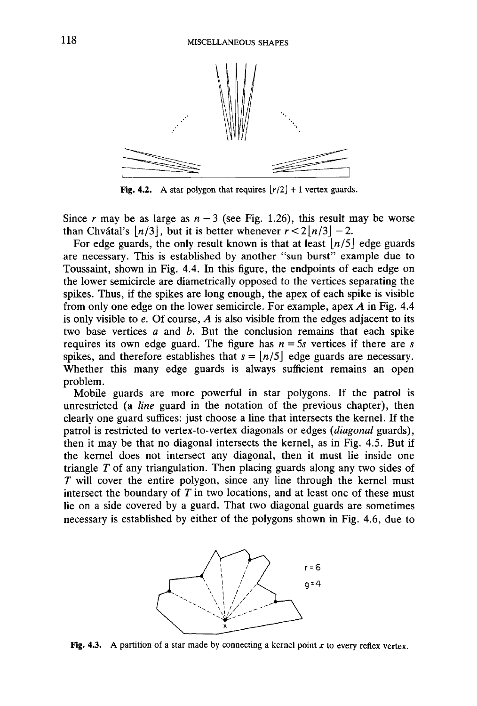

Fig. 4.2. A star polygon that requires  $\lfloor r/2 \rfloor + 1$  vertex guards.

Since *r* may be as large as  $n-3$  (see Fig. 1.26), this result may be worse than Chvátal's  $\lfloor n/3 \rfloor$ , but it is better whenever  $r < 2\lfloor n/3 \rfloor - 2$ .

For edge guards, the only result known is that at least  $\lfloor n/5 \rfloor$  edge guards are necessary. This is established by another "sun burst" example due to Toussaint, shown in Fig. 4.4. In this figure, the endpoints of each edge on the lower semicircle are diametrically opposed to the vertices separating the spikes. Thus, if the spikes are long enough, the apex of each spike is visible from only one edge on the lower semicircle. For example, apex *A* in Fig. 4.4 is only visible to *e.* Of course, *A* is also visible from the edges adjacent to its two base vertices *a* and *b.* But the conclusion remains that each spike requires its own edge guard. The figure has  $n = 5s$  vertices if there are *s* spikes, and therefore establishes that  $s = \lfloor n/5 \rfloor$  edge guards are necessary. Whether this many edge guards is always sufficient remains an open problem.

Mobile guards are more powerful in star polygons. If the patrol is unrestricted (a *line* guard in the notation of the previous chapter), then clearly one guard suffices: just choose a line that intersects the kernel. If the patrol is restricted to vertex-to-vertex diagonals or edges *(diagonal* guards), then it may be that no diagonal intersects the kernel, as in Fig. 4.5. But if the kernel does not intersect any diagonal, then it must lie inside one triangle *T* of any triangulation. Then placing guards along any two sides of *T* will cover the entire polygon, since any line through the kernel must intersect the boundary of *T* in two locations, and at least one of these must lie on a side covered by a guard. That two diagonal guards are sometimes necessary is established by either of the polygons shown in Fig. 4.6, due to



Fig. 4.3. A partition of a star made by connecting a kernel point  $x$  to every reflex vertex.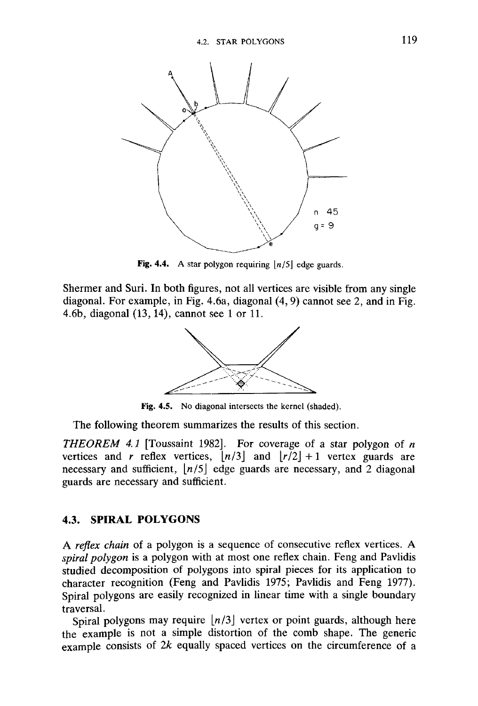

Fig. 4.4. A star polygon requiring  $\lfloor n/5 \rfloor$  edge guards.

Shermer and Suri. In both figures, not all vertices are visible from any single diagonal. For example, in Fig. 4.6a, diagonal (4, 9) cannot see 2, and in Fig. 4.6b, diagonal (13,14), cannot see 1 or 11.



Fig. 4.5. No diagonal intersects the kernel (shaded).

The following theorem summarizes the results of this section.

*THEOREM 4.1* [Toussaint 1982]. For coverage of a star polygon of *n* vertices and *r* reflex vertices,  $\lfloor n/3 \rfloor$  and  $\lfloor r/2 \rfloor + 1$  vertex guards are necessary and sufficient,  $\lfloor n/5 \rfloor$  edge guards are necessary, and 2 diagonal guards are necessary and sufficient.

## **4.3. SPIRAL POLYGONS**

A *reflex chain* of a polygon is a sequence of consecutive reflex vertices. A *spiral polygon* is a polygon with at most one reflex chain. Feng and Pavlidis studied decomposition of polygons into spiral pieces for its application to character recognition (Feng and Pavlidis 1975; Pavlidis and Feng 1977). Spiral polygons are easily recognized in linear time with a single boundary traversal.

Spiral polygons may require *[n/3\* vertex or point guards, although here the example is not a simple distortion of the comb shape. The generic example consists of *2k* equally spaced vertices on the circumference of a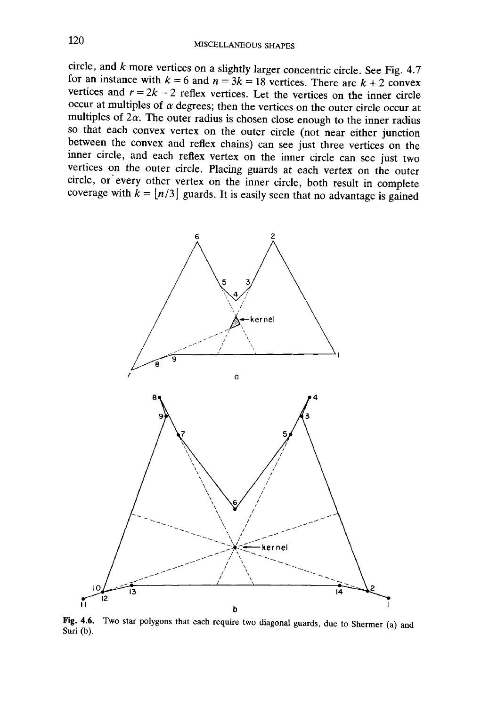circle, and *k* more vertices on a slightly larger concentric circle. See Fig. 4.7 for an instance with  $k = 6$  and  $n = 3k = 18$  vertices. There are  $k + 2$  convex vertices and  $r = 2k - 2$  reflex vertices. Let the vertices on the inner circle occur at multiples of  $\alpha$  degrees; then the vertices on the outer circle occur at multiples of  $2\alpha$ . The outer radius is chosen close enough to the inner radius so that each convex vertex on the outer circle (not near either junction between the convex and reflex chains) can see just three vertices on the inner circle, and each reflex vertex on the inner circle can see just two vertices on the outer circle. Placing guards at each vertex on the outer circle, or every other vertex on the inner circle, both result in complete coverage with  $k = \lfloor n/3 \rfloor$  guards. It is easily seen that no advantage is gained



Fig. 4.6. Two star polygons that each require two diagonal guards, due to Shermer (a) and Suri (b).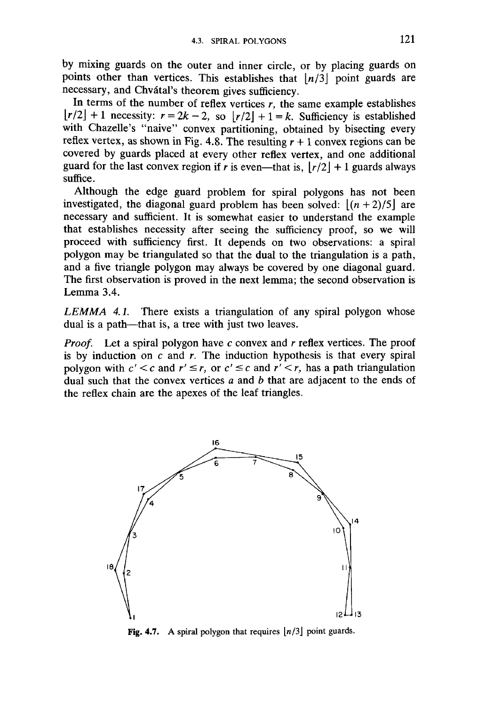by mixing guards on the outer and inner circle, or by placing guards on points other than vertices. This establishes that  $\lfloor n/3 \rfloor$  point guards are necessary, and Chvatal's theorem gives sufficiency.

In terms of the number of reflex vertices  $r$ , the same example establishes  $\lfloor r/2 \rfloor + 1$  necessity:  $r = 2k - 2$ , so  $\lfloor r/2 \rfloor + 1 = k$ . Sufficiency is established with Chazelle's "naive" convex partitioning, obtained by bisecting every reflex vertex, as shown in Fig. 4.8. The resulting  $r + 1$  convex regions can be covered by guards placed at every other reflex vertex, and one additional guard for the last convex region if *r* is even—that is,  $|r/2| + 1$  guards always suffice.

Although the edge guard problem for spiral polygons has not been investigated, the diagonal guard problem has been solved:  $|(n + 2)/5|$  are necessary and sufficient. It is somewhat easier to understand the example that establishes necessity after seeing the sufficiency proof, so we will proceed with sufficiency first. It depends on two observations: a spiral polygon may be triangulated so that the dual to the triangulation is a path, and a five triangle polygon may always be covered by one diagonal guard. The first observation is proved in the next lemma; the second observation is Lemma 3.4.

*LEMMA 4.1.* There exists a triangulation of any spiral polygon whose dual is a path—that is, a tree with just two leaves.

*Proof.* Let a spiral polygon have c convex and *r* reflex vertices. The proof is by induction on *c* and *r.* The induction hypothesis is that every spiral polygon with  $c' < c$  and  $r' \le r$ , or  $c' \le c$  and  $r' < r$ , has a path triangulation dual such that the convex vertices *a* and *b* that are adjacent to the ends of the reflex chain are the apexes of the leaf triangles.



Fig. 4.7. A spiral polygon that requires  $\lfloor n/3 \rfloor$  point guards.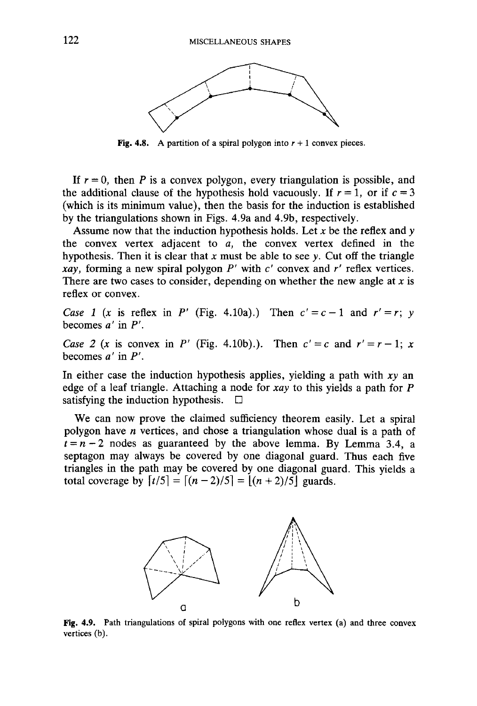

Fig. 4.8. A partition of a spiral polygon into  $r + 1$  convex pieces.

If  $r = 0$ , then *P* is a convex polygon, every triangulation is possible, and the additional clause of the hypothesis hold vacuously. If  $r = 1$ , or if  $c = 3$ (which is its minimum value), then the basis for the induction is established by the triangulations shown in Figs. 4.9a and 4.9b, respectively.

Assume now that the induction hypothesis holds. Let *x* be the reflex and *y* the convex vertex adjacent to *a,* the convex vertex defined in the hypothesis. Then it is clear that *x* must be able to see *y.* Cut off the triangle *xay,* forming a new spiral polygon *P'* with *c'* convex and *r'* reflex vertices. There are two cases to consider, depending on whether the new angle at *x* is reflex or convex.

*Case 1 (x is reflex in P' (Fig. 4.10a).)* Then  $c' = c - 1$  and  $r' = r$ ; y becomes *a'* in P'.

*Case 2 (x is convex in P'* (Fig. 4.10b).). Then  $c' = c$  and  $r' = r - 1$ ; x becomes *a'* in *P'.*

In either case the induction hypothesis applies, yielding a path with *xy* an edge of a leaf triangle. Attaching a node for *xay* to this yields a path for *P* satisfying the induction hypothesis.  $\Box$ 

We can now prove the claimed sufficiency theorem easily. Let a spiral polygon have *n* vertices, and chose a triangulation whose dual is a path of  $t = n - 2$  nodes as guaranteed by the above lemma. By Lemma 3.4, a septagon may always be covered by one diagonal guard. Thus each five triangles in the path may be covered by one diagonal guard. This yields a total coverage by  $[t/5] = [(n-2)/5] = [(n+2)/5]$  guards.



Fig. 4.9. Path triangulations of spiral polygons with one reflex vertex (a) and three convex vertices (b).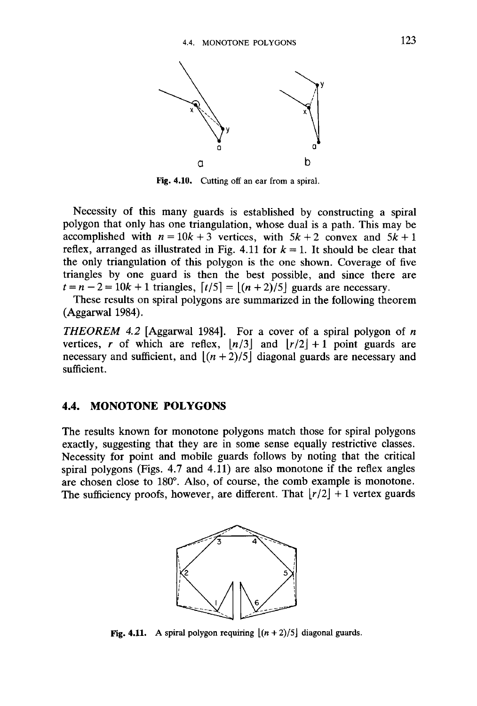

Fig. 4.10. Cutting off an ear from a spiral.

Necessity of this many guards is established by constructing a spiral polygon that only has one triangulation, whose dual is a path. This may be accomplished with  $n = 10k + 3$  vertices, with  $5k + 2$  convex and  $5k + 1$ reflex, arranged as illustrated in Fig. 4.11 for  $k = 1$ . It should be clear that the only triangulation of this polygon is the one shown. Coverage of five triangles by one guard is then the best possible, and since there are  $t = n - 2 = 10k + 1$  triangles,  $\lceil t/5 \rceil = \lceil (n + 2)/5 \rceil$  guards are necessary.

These results on spiral polygons are summarized in the following theorem (Aggarwal 1984).

*THEOREM 4.2* [Aggarwal 1984]. For a cover of a spiral polygon of *n* vertices, r of which are reflex,  $\lfloor n/3 \rfloor$  and  $\lfloor r/2 \rfloor + 1$  point guards are necessary and sufficient, and  $|(n+2)/5|$  diagonal guards are necessary and sufficient.

## **4.4. MONOTONE POLYGONS**

The results known for monotone polygons match those for spiral polygons exactly, suggesting that they are in some sense equally restrictive classes. Necessity for point and mobile guards follows by noting that the critical spiral polygons (Figs. 4.7 and 4.11) are also monotone if the reflex angles are chosen close to 180°. Also, of course, the comb example is monotone. The sufficiency proofs, however, are different. That  $\lfloor r/2 \rfloor + 1$  vertex guards



**Fig. 4.11.** A spiral polygon requiring  $\lfloor (n + 2)/5 \rfloor$  diagonal guards.